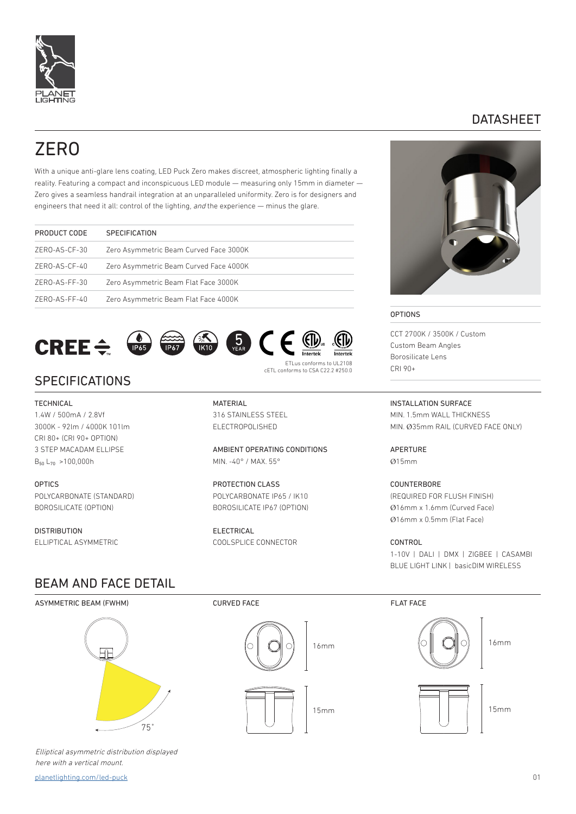

## DATASHEET

# ZERO

With a unique anti-glare lens coating, LED Puck Zero makes discreet, atmospheric lighting finally a reality. Featuring a compact and inconspicuous LED module — measuring only 15mm in diameter — Zero gives a seamless handrail integration at an unparalleled uniformity. Zero is for designers and engineers that need it all: control of the lighting, and the experience — minus the glare.

| PRODUCT CODE  | <b>SPECIFICATION</b>                   |
|---------------|----------------------------------------|
| ZERO-AS-CF-30 | Zero Asymmetric Beam Curved Face 3000K |
| ZERO-AS-CF-40 | Zero Asymmetric Beam Curved Face 4000K |
| ZERO-AS-FF-30 | Zero Asymmetric Beam Flat Face 3000K   |
| ZERO-AS-FF-40 | Zero Asymmetric Beam Flat Face 4000K   |
|               |                                        |



**SPECIFICATIONS** 

### **TECHNICAL**

1.4W / 500mA / 2.8Vf 3000K - 92lm / 4000K 101lm CRI 80+ (CRI 90+ OPTION) 3 STEP MACADAM ELLIPSE  $B_{50}$  L<sub>70</sub> >100,000h

**OPTICS** POLYCARBONATE (STANDARD) BOROSILICATE (OPTION)

DISTRIBUTION ELLIPTICAL ASYMMETRIC

**MATERIAL** 316 STAINLESS STEEL ELECTROPOLISHED

AMBIENT OPERATING CONDITIONS MIN. -40° / MAX. 55°

cETL conforms to CSA C22.2 #250.0

PROTECTION CLASS POLYCARBONATE IP65 / IK10 BOROSILICATE IP67 (OPTION)

ELECTRICAL COOLSPLICE CONNECTOR



#### OPTIONS

CCT 2700K / 3500K / Custom Custom Beam Angles Borosilicate Lens CRI 90+

INSTALLATION SURFACE MIN. 1.5mm WALL THICKNESS MIN. Ø35mm RAIL (CURVED FACE ONLY)

APERTURE Ø15mm

**COUNTERBORE** (REQUIRED FOR FLUSH FINISH) Ø16mm x 1.6mm (Curved Face) Ø16mm x 0.5mm (Flat Face)

CONTROL 1-10V | DALI | DMX | ZIGBEE | CASAMBI BLUE LIGHT LINK | basicDIM WIRELESS

## BEAM AND FACE DETAIL

ASYMMETRIC BEAM (FWHM)



Elliptical asymmetric distribution displayed here with a vertical mount.

[planetlighting.com/led-puck](http://planetlighting.com/led-puck) 01

## CURVED FACE FLAT FACE